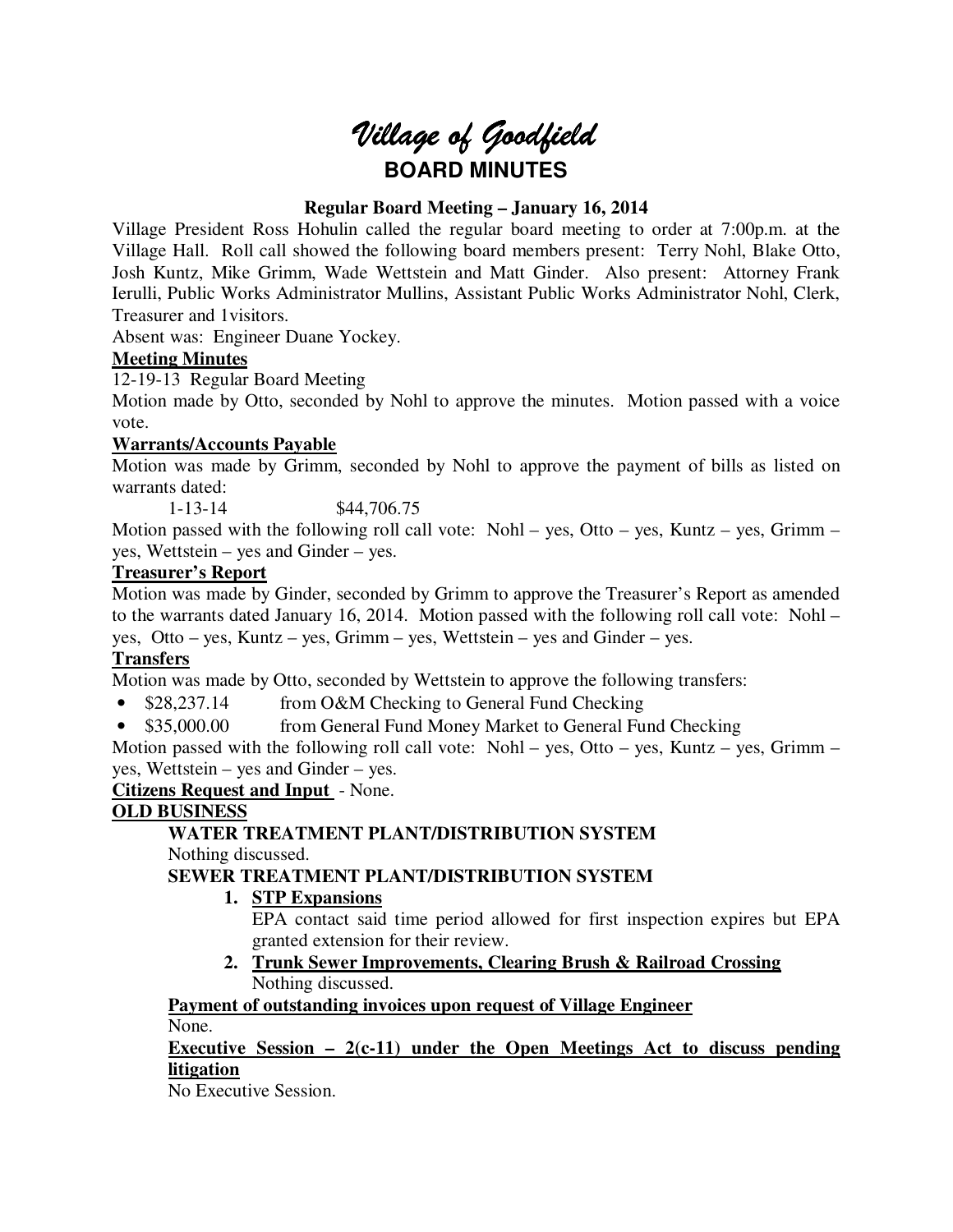

# **Regular Board Meeting – January 16, 2014**

Village President Ross Hohulin called the regular board meeting to order at 7:00p.m. at the Village Hall. Roll call showed the following board members present: Terry Nohl, Blake Otto, Josh Kuntz, Mike Grimm, Wade Wettstein and Matt Ginder. Also present: Attorney Frank Ierulli, Public Works Administrator Mullins, Assistant Public Works Administrator Nohl, Clerk, Treasurer and 1visitors.

Absent was: Engineer Duane Yockey.

## **Meeting Minutes**

12-19-13 Regular Board Meeting

Motion made by Otto, seconded by Nohl to approve the minutes. Motion passed with a voice vote.

#### **Warrants/Accounts Payable**

Motion was made by Grimm, seconded by Nohl to approve the payment of bills as listed on warrants dated:

1-13-14 \$44,706.75

Motion passed with the following roll call vote: Nohl – yes, Otto – yes, Kuntz – yes, Grimm – yes, Wettstein – yes and Ginder – yes.

#### **Treasurer's Report**

Motion was made by Ginder, seconded by Grimm to approve the Treasurer's Report as amended to the warrants dated January 16, 2014. Motion passed with the following roll call vote: Nohl – yes, Otto – yes, Kuntz – yes, Grimm – yes, Wettstein – yes and Ginder – yes.

#### **Transfers**

Motion was made by Otto, seconded by Wettstein to approve the following transfers:

- \$28,237.14 from O&M Checking to General Fund Checking
- \$35,000.00 from General Fund Money Market to General Fund Checking

Motion passed with the following roll call vote: Nohl – yes, Otto – yes, Kuntz – yes, Grimm – yes, Wettstein – yes and Ginder – yes.

**Citizens Request and Input** - None.

# **OLD BUSINESS**

**WATER TREATMENT PLANT/DISTRIBUTION SYSTEM**  Nothing discussed.

#### **SEWER TREATMENT PLANT/DISTRIBUTION SYSTEM**

- **1. STP Expansions** 
	- EPA contact said time period allowed for first inspection expires but EPA granted extension for their review.
- **2. Trunk Sewer Improvements, Clearing Brush & Railroad Crossing**  Nothing discussed.

# **Payment of outstanding invoices upon request of Village Engineer**

None.

# **Executive Session – 2(c-11) under the Open Meetings Act to discuss pending litigation**

No Executive Session.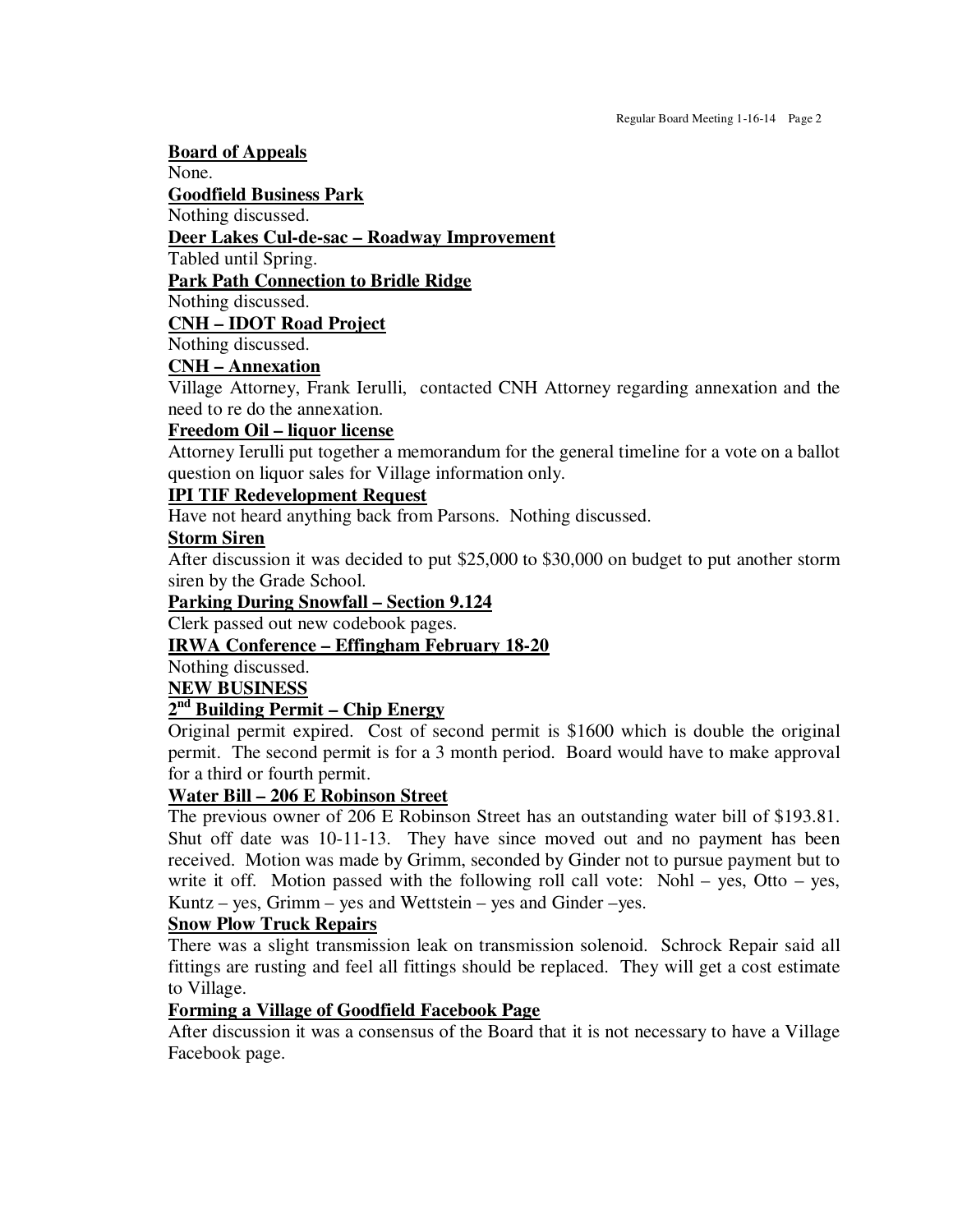**Board of Appeals**  None. **Goodfield Business Park**  Nothing discussed. **Deer Lakes Cul-de-sac – Roadway Improvement**  Tabled until Spring. **Park Path Connection to Bridle Ridge**  Nothing discussed.

**CNH – IDOT Road Project** 

Nothing discussed.

#### **CNH – Annexation**

Village Attorney, Frank Ierulli, contacted CNH Attorney regarding annexation and the need to re do the annexation.

#### **Freedom Oil – liquor license**

Attorney Ierulli put together a memorandum for the general timeline for a vote on a ballot question on liquor sales for Village information only.

#### **IPI TIF Redevelopment Request**

Have not heard anything back from Parsons. Nothing discussed.

#### **Storm Siren**

After discussion it was decided to put \$25,000 to \$30,000 on budget to put another storm siren by the Grade School.

#### **Parking During Snowfall – Section 9.124**

Clerk passed out new codebook pages.

#### **IRWA Conference – Effingham February 18-20**

Nothing discussed.

**NEW BUSINESS** 

# **2 nd Building Permit – Chip Energy**

Original permit expired. Cost of second permit is \$1600 which is double the original permit. The second permit is for a 3 month period. Board would have to make approval for a third or fourth permit.

# **Water Bill – 206 E Robinson Street**

The previous owner of 206 E Robinson Street has an outstanding water bill of \$193.81. Shut off date was 10-11-13. They have since moved out and no payment has been received. Motion was made by Grimm, seconded by Ginder not to pursue payment but to write it off. Motion passed with the following roll call vote: Nohl – yes, Otto – yes, Kuntz – yes, Grimm – yes and Wettstein – yes and Ginder – yes.

#### **Snow Plow Truck Repairs**

There was a slight transmission leak on transmission solenoid. Schrock Repair said all fittings are rusting and feel all fittings should be replaced. They will get a cost estimate to Village.

#### **Forming a Village of Goodfield Facebook Page**

After discussion it was a consensus of the Board that it is not necessary to have a Village Facebook page.